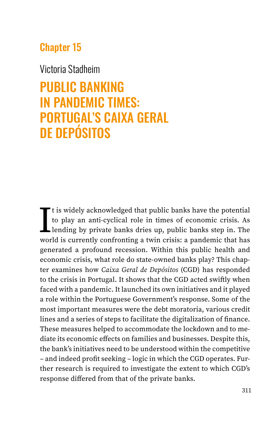## Chapter 15

### Victoria Stadheim

# PUBLIC BANKING IN PANDEMIC TIMES: PORTUGAL'S CAIXA GERAL DE DEPÓSITOS

I<sub>wor</sub> t is widely acknowledged that public banks have the potential to play an anti-cyclical role in times of economic crisis. As lending by private banks dries up, public banks step in. The world is currently confronting a twin crisis: a pandemic that has generated a profound recession. Within this public health and economic crisis, what role do state-owned banks play? This chapter examines how *Caixa Geral de Depósitos* (CGD) has responded to the crisis in Portugal. It shows that the CGD acted swiftly when faced with a pandemic. It launched its own initiatives and it played a role within the Portuguese Government's response. Some of the most important measures were the debt moratoria, various credit lines and a series of steps to facilitate the digitalization of finance. These measures helped to accommodate the lockdown and to mediate its economic effects on families and businesses. Despite this, the bank's initiatives need to be understood within the competitive – and indeed profit seeking – logic in which the CGD operates. Further research is required to investigate the extent to which CGD's response differed from that of the private banks.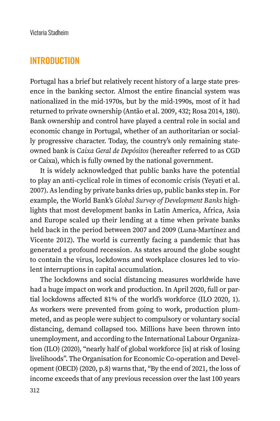#### INTRODUCTION

Portugal has a brief but relatively recent history of a large state presence in the banking sector. Almost the entire financial system was nationalized in the mid-1970s, but by the mid-1990s, most of it had returned to private ownership (Antão et al. 2009, 432; Rosa 2014, 180). Bank ownership and control have played a central role in social and economic change in Portugal, whether of an authoritarian or socially progressive character. Today, the country's only remaining stateowned bank is *Caixa Geral de Depósitos* (hereafter referred to as CGD or Caixa), which is fully owned by the national government.

It is widely acknowledged that public banks have the potential to play an anti-cyclical role in times of economic crisis (Yeyati et al. 2007). As lending by private banks dries up, public banks step in. For example, the World Bank's *Global Survey of Development Banks* highlights that most development banks in Latin America, Africa, Asia and Europe scaled up their lending at a time when private banks held back in the period between 2007 and 2009 (Luna-Martínez and Vicente 2012). The world is currently facing a pandemic that has generated a profound recession. As states around the globe sought to contain the virus, lockdowns and workplace closures led to violent interruptions in capital accumulation.

The lockdowns and social distancing measures worldwide have had a huge impact on work and production. In April 2020, full or partial lockdowns affected 81% of the world's workforce (ILO 2020, 1). As workers were prevented from going to work, production plummeted, and as people were subject to compulsory or voluntary social distancing, demand collapsed too. Millions have been thrown into unemployment, and according to the International Labour Organization (ILO) (2020), "nearly half of global workforce [is] at risk of losing livelihoods". The Organisation for Economic Co-operation and Development (OECD) (2020, p.8) warns that, "By the end of 2021, the loss of income exceeds that of any previous recession over the last 100 years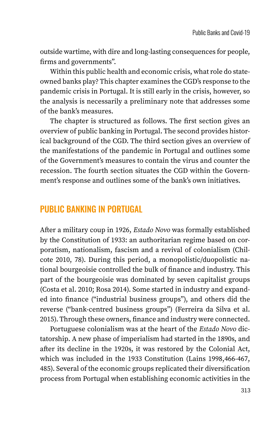outside wartime, with dire and long-lasting consequences for people, firms and governments".

Within this public health and economic crisis, what role do stateowned banks play? This chapter examines the CGD's response to the pandemic crisis in Portugal. It is still early in the crisis, however, so the analysis is necessarily a preliminary note that addresses some of the bank's measures.

The chapter is structured as follows. The first section gives an overview of public banking in Portugal. The second provides historical background of the CGD. The third section gives an overview of the manifestations of the pandemic in Portugal and outlines some of the Government's measures to contain the virus and counter the recession. The fourth section situates the CGD within the Government's response and outlines some of the bank's own initiatives.

#### PUBLIC BANKING IN PORTUGAL

After a military coup in 1926, *Estado Novo* was formally established by the Constitution of 1933: an authoritarian regime based on corporatism, nationalism, fascism and a revival of colonialism (Chilcote 2010, 78). During this period, a monopolistic/duopolistic national bourgeoisie controlled the bulk of finance and industry. This part of the bourgeoisie was dominated by seven capitalist groups (Costa et al. 2010; Rosa 2014). Some started in industry and expanded into finance ("industrial business groups"), and others did the reverse ("bank-centred business groups") (Ferreira da Silva et al. 2015). Through these owners, finance and industry were connected.

Portuguese colonialism was at the heart of the *Estado Novo* dictatorship. A new phase of imperialism had started in the 1890s, and after its decline in the 1920s, it was restored by the Colonial Act, which was included in the 1933 Constitution (Lains 1998,466-467, 485). Several of the economic groups replicated their diversification process from Portugal when establishing economic activities in the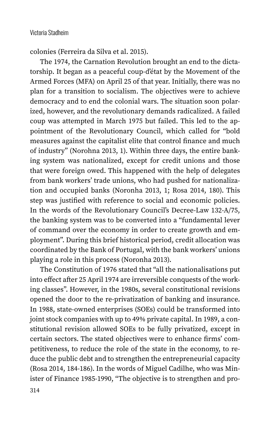colonies (Ferreira da Silva et al. 2015).

The 1974, the Carnation Revolution brought an end to the dictatorship. It began as a peaceful coup-d'état by the Movement of the Armed Forces (MFA) on April 25 of that year. Initially, there was no plan for a transition to socialism. The objectives were to achieve democracy and to end the colonial wars. The situation soon polarized, however, and the revolutionary demands radicalized. A failed coup was attempted in March 1975 but failed. This led to the appointment of the Revolutionary Council, which called for "bold measures against the capitalist elite that control finance and much of industry" (Norohna 2013, 1). Within three days, the entire banking system was nationalized, except for credit unions and those that were foreign owed. This happened with the help of delegates from bank workers' trade unions, who had pushed for nationalization and occupied banks (Noronha 2013, 1; Rosa 2014, 180). This step was justified with reference to social and economic policies. In the words of the Revolutionary Council's Decree-Law 132-A/75, the banking system was to be converted into a "fundamental lever of command over the economy in order to create growth and employment". During this brief historical period, credit allocation was coordinated by the Bank of Portugal, with the bank workers' unions playing a role in this process (Noronha 2013).

The Constitution of 1976 stated that "all the nationalisations put into effect after 25 April 1974 are irreversible conquests of the working classes". However, in the 1980s, several constitutional revisions opened the door to the re-privatization of banking and insurance. In 1988, state-owned enterprises (SOEs) could be transformed into joint stock companies with up to 49% private capital. In 1989, a constitutional revision allowed SOEs to be fully privatized, except in certain sectors. The stated objectives were to enhance firms' competitiveness, to reduce the role of the state in the economy, to reduce the public debt and to strengthen the entrepreneurial capacity (Rosa 2014, 184-186). In the words of Miguel Cadilhe, who was Minister of Finance 1985-1990, "The objective is to strengthen and pro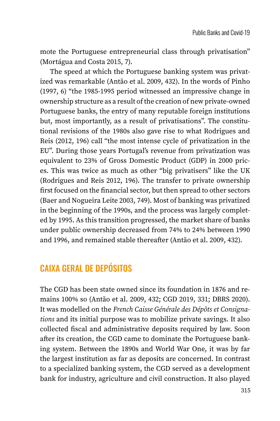mote the Portuguese entrepreneurial class through privatisation" (Mortágua and Costa 2015, 7).

The speed at which the Portuguese banking system was privatized was remarkable (Antão et al. 2009, 432). In the words of Pinho (1997, 6) "the 1985-1995 period witnessed an impressive change in ownership structure as a result of the creation of new private-owned Portuguese banks, the entry of many reputable foreign institutions but, most importantly, as a result of privatisations". The constitutional revisions of the 1980s also gave rise to what Rodrigues and Reis (2012, 196) call "the most intense cycle of privatization in the EU". During those years Portugal's revenue from privatization was equivalent to 23% of Gross Domestic Product (GDP) in 2000 prices. This was twice as much as other "big privatisers" like the UK (Rodrigues and Reis 2012, 196). The transfer to private ownership first focused on the financial sector, but then spread to other sectors (Baer and Nogueira Leite 2003, 749). Most of banking was privatized in the beginning of the 1990s, and the process was largely completed by 1995. As this transition progressed, the market share of banks under public ownership decreased from 74% to 24% between 1990 and 1996, and remained stable thereafter (Antão et al. 2009, 432).

# CAIXA GERAL DE DEPÓSITOS

The CGD has been state owned since its foundation in 1876 and remains 100% so (Antão et al. 2009, 432; CGD 2019, 331; DBRS 2020). It was modelled on the *French Caisse Générale des Dépôts et Consignations* and its initial purpose was to mobilize private savings. It also collected fiscal and administrative deposits required by law. Soon after its creation, the CGD came to dominate the Portuguese banking system. Between the 1890s and World War One, it was by far the largest institution as far as deposits are concerned. In contrast to a specialized banking system, the CGD served as a development bank for industry, agriculture and civil construction. It also played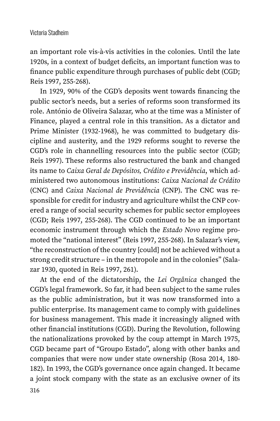an important role vis-à-vis activities in the colonies. Until the late 1920s, in a context of budget deficits, an important function was to finance public expenditure through purchases of public debt (CGD; Reis 1997, 255-268).

In 1929, 90% of the CGD's deposits went towards financing the public sector's needs, but a series of reforms soon transformed its role. António de Oliveira Salazar, who at the time was a Minister of Finance, played a central role in this transition. As a dictator and Prime Minister (1932-1968), he was committed to budgetary discipline and austerity, and the 1929 reforms sought to reverse the CGD's role in channelling resources into the public sector (CGD; Reis 1997). These reforms also restructured the bank and changed its name to *Caixa Geral de Depósitos, Crédito e Previdência*, which administered two autonomous institutions: *Caixa Nacional de Crédito*  (CNC) and *Caixa Nacional de Previdência* (CNP). The CNC was responsible for credit for industry and agriculture whilst the CNP covered a range of social security schemes for public sector employees (CGD; Reis 1997, 255-268). The CGD continued to be an important economic instrument through which the *Estado Novo* regime promoted the "national interest" (Reis 1997, 255-268). In Salazar's view, "the reconstruction of the country [could] not be achieved without a strong credit structure – in the metropole and in the colonies" (Salazar 1930, quoted in Reis 1997, 261).

At the end of the dictatorship, the *Lei Orgânica* changed the CGD's legal framework. So far, it had been subject to the same rules as the public administration, but it was now transformed into a public enterprise. Its management came to comply with guidelines for business management. This made it increasingly aligned with other financial institutions (CGD). During the Revolution, following the nationalizations provoked by the coup attempt in March 1975, CGD became part of "Groupo Estado", along with other banks and companies that were now under state ownership (Rosa 2014, 180- 182). In 1993, the CGD's governance once again changed. It became a joint stock company with the state as an exclusive owner of its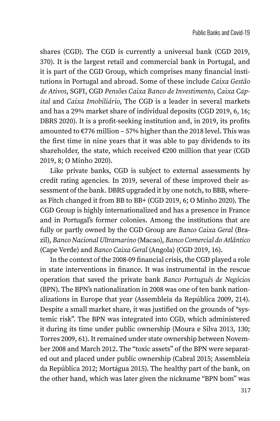shares (CGD). The CGD is currently a universal bank (CGD 2019, 370). It is the largest retail and commercial bank in Portugal, and it is part of the CGD Group, which comprises many financial institutions in Portugal and abroad. Some of these include *Caixa Gestão de Ativos*, SGFI, CGD *Pensões Caixa Banco de Investimento*, *Caixa Capital* and *Caixa Imobiliário*, The CGD is a leader in several markets and has a 29% market share of individual deposits (CGD 2019, 6, 16; DBRS 2020). It is a profit-seeking institution and, in 2019, its profits amounted to  $\epsilon$ 776 million – 57% higher than the 2018 level. This was the first time in nine years that it was able to pay dividends to its shareholder, the state, which received  $\epsilon$ 200 million that year (CGD 2019, 8; O Minho 2020).

Like private banks, CGD is subject to external assessments by credit rating agencies. In 2019, several of these improved their assessment of the bank. DBRS upgraded it by one notch, to BBB, whereas Fitch changed it from BB to BB+ (CGD 2019, 6; O Minho 2020). The CGD Group is highly internationalized and has a presence in France and in Portugal's former colonies. Among the institutions that are fully or partly owned by the CGD Group are *Banco Caixa Geral* (Brazil), *Banco Nacional Ultramarino* (Macao), *Banco Comercial do Atlântico* (Cape Verde) and *Banco Caixa Geral* (Angola) (CGD 2019, 16).

In the context of the 2008-09 financial crisis, the CGD played a role in state interventions in finance. It was instrumental in the rescue operation that saved the private bank *Banco Português de Negócios* (BPN). The BPN's nationalization in 2008 was one of ten bank nationalizations in Europe that year (Assembleia da República 2009, 214). Despite a small market share, it was justified on the grounds of "systemic risk". The BPN was integrated into CGD, which administered it during its time under public ownership (Moura e Silva 2013, 130; Torres 2009, 61). It remained under state ownership between November 2008 and March 2012. The "toxic assets" of the BPN were separated out and placed under public ownership (Cabral 2015; Assembleia da República 2012; Mortágua 2015). The healthy part of the bank, on the other hand, which was later given the nickname "BPN bom" was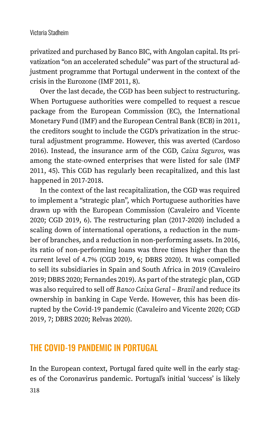privatized and purchased by Banco BIC, with Angolan capital. Its privatization "on an accelerated schedule" was part of the structural adjustment programme that Portugal underwent in the context of the crisis in the Eurozone (IMF 2011, 8).

Over the last decade, the CGD has been subject to restructuring. When Portuguese authorities were compelled to request a rescue package from the European Commission (EC), the International Monetary Fund (IMF) and the European Central Bank (ECB) in 2011, the creditors sought to include the CGD's privatization in the structural adjustment programme. However, this was averted (Cardoso 2016). Instead, the insurance arm of the CGD, *Caixa Seguros*, was among the state-owned enterprises that were listed for sale (IMF 2011, 45). This CGD has regularly been recapitalized, and this last happened in 2017-2018.

In the context of the last recapitalization, the CGD was required to implement a "strategic plan", which Portuguese authorities have drawn up with the European Commission (Cavaleiro and Vicente 2020; CGD 2019, 6). The restructuring plan (2017-2020) included a scaling down of international operations, a reduction in the number of branches, and a reduction in non-performing assets. In 2016, its ratio of non-performing loans was three times higher than the current level of 4.7% (CGD 2019, 6; DBRS 2020). It was compelled to sell its subsidiaries in Spain and South Africa in 2019 (Cavaleiro 2019; DBRS 2020; Fernandes 2019). As part of the strategic plan, CGD was also required to sell off *Banco Caixa Geral – Brazil* and reduce its ownership in banking in Cape Verde. However, this has been disrupted by the Covid-19 pandemic (Cavaleiro and Vicente 2020; CGD 2019, 7; DBRS 2020; Relvas 2020).

# THE COVID-19 PANDEMIC IN PORTUGAL

In the European context, Portugal fared quite well in the early stages of the Coronavirus pandemic. Portugal's initial 'success' is likely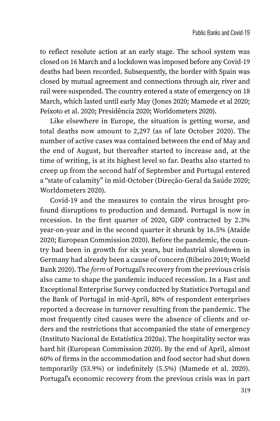to reflect resolute action at an early stage. The school system was closed on 16 March and a lockdown was imposed before any Covid-19 deaths had been recorded. Subsequently, the border with Spain was closed by mutual agreement and connections through air, river and rail were suspended. The country entered a state of emergency on 18 March, which lasted until early May (Jones 2020; Mamede et al 2020; Peixoto et al. 2020; Presidência 2020; Worldometers 2020).

Like elsewhere in Europe, the situation is getting worse, and total deaths now amount to 2,297 (as of late October 2020). The number of active cases was contained between the end of May and the end of August, but thereafter started to increase and, at the time of writing, is at its highest level so far. Deaths also started to creep up from the second half of September and Portugal entered a "state of calamity" in mid-October (Direção-Geral da Saúde 2020; Worldometers 2020).

Covid-19 and the measures to contain the virus brought profound disruptions to production and demand. Portugal is now in recession. In the first quarter of 2020, GDP contracted by 2.3% year-on-year and in the second quarter it shrunk by 16.5% (Ataíde 2020; European Commission 2020). Before the pandemic, the country had been in growth for six years, but industrial slowdown in Germany had already been a cause of concern (Ribeiro 2019; World Bank 2020). The *form* of Portugal's recovery from the previous crisis also came to shape the pandemic induced recession. In a Fast and Exceptional Enterprise Survey conducted by Statistics Portugal and the Bank of Portugal in mid-April, 80% of respondent enterprises reported a decrease in turnover resulting from the pandemic. The most frequently cited causes were the absence of clients and orders and the restrictions that accompanied the state of emergency (Instituto Nacional de Estatística 2020a). The hospitality sector was hard hit (European Commission 2020). By the end of April, almost 60% of firms in the accommodation and food sector had shut down temporarily (53.9%) or indefinitely (5.5%) (Mamede et al. 2020). Portugal's economic recovery from the previous crisis was in part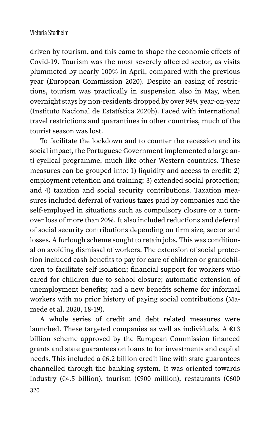driven by tourism, and this came to shape the economic effects of Covid-19. Tourism was the most severely affected sector, as visits plummeted by nearly 100% in April, compared with the previous year (European Commission 2020). Despite an easing of restrictions, tourism was practically in suspension also in May, when overnight stays by non-residents dropped by over 98% year-on-year (Instituto Nacional de Estatística 2020b). Faced with international travel restrictions and quarantines in other countries, much of the tourist season was lost.

To facilitate the lockdown and to counter the recession and its social impact, the Portuguese Government implemented a large anti-cyclical programme, much like other Western countries. These measures can be grouped into: 1) liquidity and access to credit; 2) employment retention and training; 3) extended social protection; and 4) taxation and social security contributions. Taxation measures included deferral of various taxes paid by companies and the self-employed in situations such as compulsory closure or a turnover loss of more than 20%. It also included reductions and deferral of social security contributions depending on firm size, sector and losses. A furlough scheme sought to retain jobs. This was conditional on avoiding dismissal of workers. The extension of social protection included cash benefits to pay for care of children or grandchildren to facilitate self-isolation; financial support for workers who cared for children due to school closure; automatic extension of unemployment benefits; and a new benefits scheme for informal workers with no prior history of paying social contributions (Mamede et al. 2020, 18-19).

A whole series of credit and debt related measures were launched. These targeted companies as well as individuals. A  $€13$ billion scheme approved by the European Commission financed grants and state guarantees on loans to for investments and capital needs. This included a €6.2 billion credit line with state guarantees channelled through the banking system. It was oriented towards industry (€4.5 billion), tourism (€900 million), restaurants (€600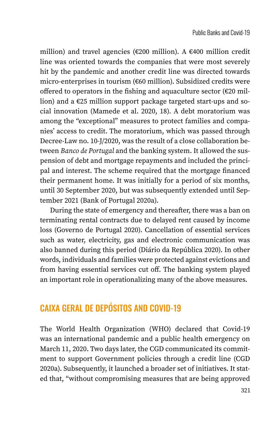million) and travel agencies (€200 million). A €400 million credit line was oriented towards the companies that were most severely hit by the pandemic and another credit line was directed towards micro-enterprises in tourism (€60 million). Subsidized credits were offered to operators in the fishing and aquaculture sector  $(\epsilon 20 \text{ mil}$ lion) and a €25 million support package targeted start-ups and social innovation (Mamede et al. 2020, 18). A debt moratorium was among the "exceptional" measures to protect families and companies' access to credit. The moratorium, which was passed through Decree-Law no. 10-J/2020, was the result of a close collaboration between *Banco de Portugal* and the banking system. It allowed the suspension of debt and mortgage repayments and included the principal and interest. The scheme required that the mortgage financed their permanent home. It was initially for a period of six months, until 30 September 2020, but was subsequently extended until September 2021 (Bank of Portugal 2020a).

During the state of emergency and thereafter, there was a ban on terminating rental contracts due to delayed rent caused by income loss (Governo de Portugal 2020). Cancellation of essential services such as water, electricity, gas and electronic communication was also banned during this period (Diário da República 2020). In other words, individuals and families were protected against evictions and from having essential services cut off. The banking system played an important role in operationalizing many of the above measures.

# CAIXA GERAL DE DEPÓSITOS AND COVID-19

The World Health Organization (WHO) declared that Covid-19 was an international pandemic and a public health emergency on March 11, 2020. Two days later, the CGD communicated its commitment to support Government policies through a credit line (CGD 2020a). Subsequently, it launched a broader set of initiatives. It stated that, "without compromising measures that are being approved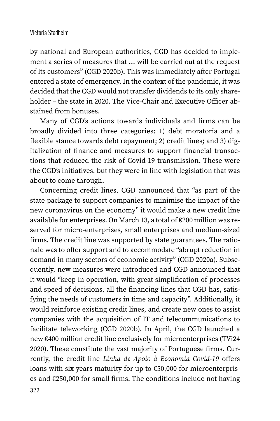by national and European authorities, CGD has decided to implement a series of measures that … will be carried out at the request of its customers" (CGD 2020b). This was immediately after Portugal entered a state of emergency. In the context of the pandemic, it was decided that the CGD would not transfer dividends to its only shareholder – the state in 2020. The Vice-Chair and Executive Officer abstained from bonuses.

Many of CGD's actions towards individuals and firms can be broadly divided into three categories: 1) debt moratoria and a flexible stance towards debt repayment; 2) credit lines; and 3) digitalization of finance and measures to support financial transactions that reduced the risk of Covid-19 transmission. These were the CGD's initiatives, but they were in line with legislation that was about to come through.

Concerning credit lines, CGD announced that "as part of the state package to support companies to minimise the impact of the new coronavirus on the economy" it would make a new credit line available for enterprises. On March 13, a total of €200 million was reserved for micro-enterprises, small enterprises and medium-sized firms. The credit line was supported by state guarantees. The rationale was to offer support and to accommodate "abrupt reduction in demand in many sectors of economic activity" (CGD 2020a). Subsequently, new measures were introduced and CGD announced that it would "keep in operation, with great simplification of processes and speed of decisions, all the financing lines that CGD has, satisfying the needs of customers in time and capacity". Additionally, it would reinforce existing credit lines, and create new ones to assist companies with the acquisition of IT and telecommunications to facilitate teleworking (CGD 2020b). In April, the CGD launched a new €400 million credit line exclusively for microenterprises (TVi24 2020). These constitute the vast majority of Portuguese firms. Currently, the credit line *Linha de Apoio à Economia Covid-19* offers loans with six years maturity for up to €50,000 for microenterprises and €250,000 for small firms. The conditions include not having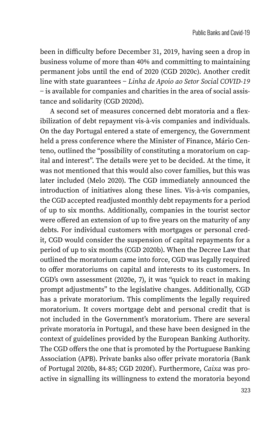been in difficulty before December 31, 2019, having seen a drop in business volume of more than 40% and committing to maintaining permanent jobs until the end of 2020 (CGD 2020c). Another credit line with state guarantees − *Linha de Apoio ao Setor Social COVID-19*  − is available for companies and charities in the area of social assistance and solidarity (CGD 2020d).

A second set of measures concerned debt moratoria and a flexibilization of debt repayment vis-à-vis companies and individuals. On the day Portugal entered a state of emergency, the Government held a press conference where the Minister of Finance, Mário Centeno, outlined the "possibility of constituting a moratorium on capital and interest". The details were yet to be decided. At the time, it was not mentioned that this would also cover families, but this was later included (Melo 2020). The CGD immediately announced the introduction of initiatives along these lines. Vis-à-vis companies, the CGD accepted readjusted monthly debt repayments for a period of up to six months. Additionally, companies in the tourist sector were offered an extension of up to five years on the maturity of any debts. For individual customers with mortgages or personal credit, CGD would consider the suspension of capital repayments for a period of up to six months (CGD 2020b). When the Decree Law that outlined the moratorium came into force, CGD was legally required to offer moratoriums on capital and interests to its customers. In CGD's own assessment (2020e, 7), it was "quick to react in making prompt adjustments" to the legislative changes. Additionally, CGD has a private moratorium. This compliments the legally required moratorium. It covers mortgage debt and personal credit that is not included in the Government's moratorium. There are several private moratoria in Portugal, and these have been designed in the context of guidelines provided by the European Banking Authority. The CGD offers the one that is promoted by the Portuguese Banking Association (APB). Private banks also offer private moratoria (Bank of Portugal 2020b, 84-85; CGD 2020f). Furthermore, *Caixa* was proactive in signalling its willingness to extend the moratoria beyond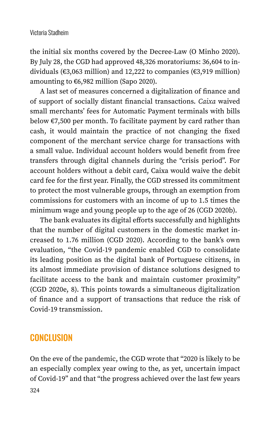the initial six months covered by the Decree-Law (O Minho 2020). By July 28, the CGD had approved 48,326 moratoriums: 36,604 to individuals (€3,063 million) and 12,222 to companies (€3,919 million) amounting to €6,982 million (Sapo 2020).

A last set of measures concerned a digitalization of finance and of support of socially distant financial transactions. *Caixa* waived small merchants' fees for Automatic Payment terminals with bills below €7,500 per month. To facilitate payment by card rather than cash, it would maintain the practice of not changing the fixed component of the merchant service charge for transactions with a small value. Individual account holders would benefit from free transfers through digital channels during the "crisis period". For account holders without a debit card, Caixa would waive the debit card fee for the first year. Finally, the CGD stressed its commitment to protect the most vulnerable groups, through an exemption from commissions for customers with an income of up to 1.5 times the minimum wage and young people up to the age of 26 (CGD 2020b).

The bank evaluates its digital efforts successfully and highlights that the number of digital customers in the domestic market increased to 1.76 million (CGD 2020). According to the bank's own evaluation, "the Covid-19 pandemic enabled CGD to consolidate its leading position as the digital bank of Portuguese citizens, in its almost immediate provision of distance solutions designed to facilitate access to the bank and maintain customer proximity" (CGD 2020e, 8). This points towards a simultaneous digitalization of finance and a support of transactions that reduce the risk of Covid-19 transmission.

### **CONCLUSION**

On the eve of the pandemic, the CGD wrote that "2020 is likely to be an especially complex year owing to the, as yet, uncertain impact of Covid-19" and that "the progress achieved over the last few years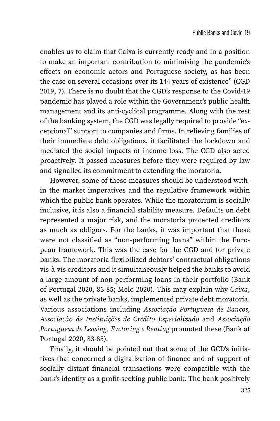enables us to claim that Caixa is currently ready and in a position to make an important contribution to minimising the pandemic's effects on economic actors and Portuguese society, as has been the case on several occasions over its 144 years of existence" (CGD 2019, 7). There is no doubt that the CGD's response to the Covid-19 pandemic has played a role within the Government's public health management and its anti-cyclical programme. Along with the rest of the banking system, the CGD was legally required to provide "exceptional" support to companies and firms. In relieving families of their immediate debt obligations, it facilitated the lockdown and mediated the social impacts of income loss. The CGD also acted proactively. It passed measures before they were required by law and signalled its commitment to extending the moratoria.

However, some of these measures should be understood within the market imperatives and the regulative framework within which the public bank operates. While the moratorium is socially inclusive, it is also a financial stability measure. Defaults on debt represented a major risk, and the moratoria protected creditors as much as obligors. For the banks, it was important that these were not classified as "non-performing loans" within the European framework. This was the case for the CGD and for private banks. The moratoria flexibilized debtors' contractual obligations vis-à-vis creditors and it simultaneously helped the banks to avoid a large amount of non-performing loans in their portfolio (Bank of Portugal 2020, 83-85; Melo 2020). This may explain why *Caixa*, as well as the private banks, implemented private debt moratoria. Various associations including *Associação Portuguesa de Bancos*, *Associação de Instituições de Crédito Especializado* and *Associação Portuguesa de Leasing, Factoring e Renting* promoted these (Bank of Portugal 2020, 83-85).

Finally, it should be pointed out that some of the GCD's initiatives that concerned a digitalization of finance and of support of socially distant financial transactions were compatible with the bank's identity as a profit-seeking public bank. The bank positively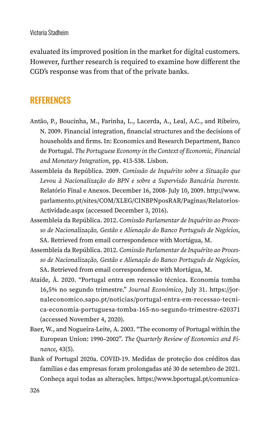evaluated its improved position in the market for digital customers. However, further research is required to examine how different the CGD's response was from that of the private banks.

#### **REFERENCES**

- Antão, P., Boucinha, M., Farinha, L., Lacerda, A., Leal, A.C., and Ribeiro, N. 2009. Financial integration, financial structures and the decisions of households and firms. In: Economics and Research Department, Banco de Portugal. *The Portuguese Economy in the Context of Economic, Financial and Monetary Integration*, pp. 415-538. Lisbon.
- Assembleia da República. 2009. *Comissão de Inquérito sobre a Situação que Levou à Nacionalização do BPN e sobre a Supervisão Bancária Inerente.* Relatório Final e Anexos. December 16, 2008- July 10, 2009. [http://www.](http://www.parlamento.pt/sites/COM/XLEG/CINBPNposRAR/Paginas/RelatoriosActividade.aspx) [parlamento.pt/sites/COM/XLEG/CINBPNposRAR/Paginas/Relatorios](http://www.parlamento.pt/sites/COM/XLEG/CINBPNposRAR/Paginas/RelatoriosActividade.aspx)-[Actividade.aspx](http://www.parlamento.pt/sites/COM/XLEG/CINBPNposRAR/Paginas/RelatoriosActividade.aspx) (accessed December 3, 2016).
- Assembleia da República. 2012. *Comissão Parlamentar de Inquérito ao Processo de Nacionalização, Gestão e Alienação do Banco Português de Negócios*, SA. Retrieved from email correspondence with Mortágua, M.
- Assembleia da República. 2012. *Comissão Parlamentar de Inquérito ao Processo de Nacionalização, Gestão e Alienação do Banco Português de Negócios*, SA. Retrieved from email correspondence with Mortágua, M.
- Ataíde, Â. 2020. "Portugal entra em recessão técnica. Economia tomba 16,5% no segundo trimestre." *Journal Económico*, July 31. [https://jor](https://jornaleconomico.sapo.pt/noticias/portugal-entra-em-recessao-tecnica-economia-portuguesa-tomba-165-no-segundo-trimestre-620371)[naleconomico.sapo.pt/noticias/portugal-entra-em-recessao-tecni](https://jornaleconomico.sapo.pt/noticias/portugal-entra-em-recessao-tecnica-economia-portuguesa-tomba-165-no-segundo-trimestre-620371)[ca-economia-portuguesa-tomba-165-no-segundo-trimestre-620371](https://jornaleconomico.sapo.pt/noticias/portugal-entra-em-recessao-tecnica-economia-portuguesa-tomba-165-no-segundo-trimestre-620371) (accessed November 4, 2020).
- Baer, W., and Nogueira-Leite, A. 2003. "The economy of Portugal within the European Union: 1990–2002". *The Quarterly Review of Economics and Finance*, 43(5).
- Bank of Portugal 2020a. COVID-19. Medidas de proteção dos créditos das famílias e das empresas foram prolongadas até 30 de setembro de 2021. Conheça aqui todas as alterações. [https://www.bportugal.pt/comunica-](https://www.bportugal.pt/comunicado/covid-19-medidas-de-protecao-dos-creditos-das-familias-e-das-empresas-foram-prolongadas)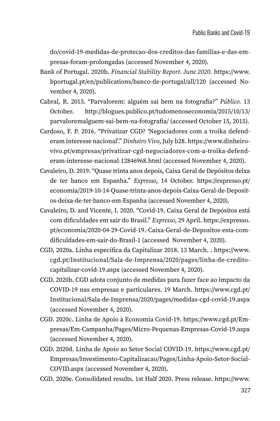[do/covid-19-medidas-de-protecao-dos-creditos-das-familias-e-das-em](https://www.bportugal.pt/comunicado/covid-19-medidas-de-protecao-dos-creditos-das-familias-e-das-empresas-foram-prolongadas)[presas-foram-prolongadas](https://www.bportugal.pt/comunicado/covid-19-medidas-de-protecao-dos-creditos-das-familias-e-das-empresas-foram-prolongadas) (accessed November 4, 2020).

- Bank of Portugal. 2020b. *Financial Stability Report. June 2020.* [https://www.](https://www.bportugal.pt/en/publications/banco-de-portugal/all/120) [bportugal.pt/en/publications/banco-de-portugal/all/120](https://www.bportugal.pt/en/publications/banco-de-portugal/all/120) (accessed November 4, 2020).
- Cabral, R. 2015. "Parvalorem: alguém sai bem na fotografia?" *Público.* 13 October. [http://blogues.publico.pt/tudomenoseconomia/2015/10/13/](http://blogues.publico.pt/tudomenoseconomia/2015/10/13/parvaloremalguem-sai-bem-na-fotografia/) [parvaloremalguem-sai-bem-na-fotografia/](http://blogues.publico.pt/tudomenoseconomia/2015/10/13/parvaloremalguem-sai-bem-na-fotografia/) (accessed October 15, 2015).
- Cardoso, F. P. 2016. "Privatizar CGD? 'Negociadores com a troika defenderam interesse nacional'." *Dinheiro Vivo*, July b28. [https://www.dinheiro](https://www.dinheirovivo.pt/empresas/privatizar-cgd-negociadores-com-a-troika-defenderam-interesse-nacional-12846968.html)[vivo.pt/empresas/privatizar-cgd-negociadores-com-a-troika-defend](https://www.dinheirovivo.pt/empresas/privatizar-cgd-negociadores-com-a-troika-defenderam-interesse-nacional-12846968.html)[eram-interesse-nacional-12846968.html](https://www.dinheirovivo.pt/empresas/privatizar-cgd-negociadores-com-a-troika-defenderam-interesse-nacional-12846968.html) (accessed November 4, 2020).
- Cavaleiro, D. 2019. "Quase trinta anos depois, Caixa Geral de Depósitos deixa de ter banco em Espanha." *Expresso*, 14 October. [https://expresso.pt/](https://expresso.pt/economia/2019-10-14-Quase-trinta-anos-depois-Caixa-Geral-de-Depositos-deixa-de-ter-banco-em-Espanha) [economia/2019-10-14-Quase-trinta-anos-depois-Caixa-Geral-de-Deposit](https://expresso.pt/economia/2019-10-14-Quase-trinta-anos-depois-Caixa-Geral-de-Depositos-deixa-de-ter-banco-em-Espanha)[os-deixa-de-ter-banco-em-Espanha](https://expresso.pt/economia/2019-10-14-Quase-trinta-anos-depois-Caixa-Geral-de-Depositos-deixa-de-ter-banco-em-Espanha) (accessed November 4, 2020).
- Cavaleiro, D. and Vicente, I. 2020. "Covid-19. Caixa Geral de Depósitos está com dificuldades em sair do Brasil." *Expresso*, 29 April. [https://expresso.](https://expresso.pt/economia/2020-04-29-Covid-19.-Caixa-Geral-de-Depositos-esta-com-dificuldades-em-sair-do-Brasil-1) [pt/economia/2020-04-29-Covid-19.-Caixa-Geral-de-Depositos-esta-com](https://expresso.pt/economia/2020-04-29-Covid-19.-Caixa-Geral-de-Depositos-esta-com-dificuldades-em-sair-do-Brasil-1)[dificuldades-em-sair-do-Brasil-1](https://expresso.pt/economia/2020-04-29-Covid-19.-Caixa-Geral-de-Depositos-esta-com-dificuldades-em-sair-do-Brasil-1) (accessed November 4, 2020).
- CGD, 2020a. Linha específica da Capitalizar 2018. 13 March. . [https://www.](https://www.cgd.pt/Institucional/Sala-de-Imprensa/2020/pages/linha-de-credito-capitalizar-covid-19.aspx) [cgd.pt/Institucional/Sala-de-Imprensa/2020/pages/linha-de-credito](https://www.cgd.pt/Institucional/Sala-de-Imprensa/2020/pages/linha-de-credito-capitalizar-covid-19.aspx)[capitalizar-covid-19.aspx](https://www.cgd.pt/Institucional/Sala-de-Imprensa/2020/pages/linha-de-credito-capitalizar-covid-19.aspx) (accessed November 4, 2020).
- CGD. 2020b. CGD adota conjunto de medidas para fazer face ao impacto da COVID-19 nas empresas e particulares. 19 March. [https://www.cgd.pt/](https://www.cgd.pt/Institucional/Sala-de-Imprensa/2020/pages/medidas-cgd-covid-19.aspx) [Institucional/Sala-de-Imprensa/2020/pages/medidas-cgd-covid-19.aspx](https://www.cgd.pt/Institucional/Sala-de-Imprensa/2020/pages/medidas-cgd-covid-19.aspx) (accessed November 4, 2020).
- CGD. 2020c. Linha de Apoio à Economia Covid-19. [https://www.cgd.pt/Em](https://www.cgd.pt/Empresas/Em-Campanha/Pages/Micro-Pequenas-Empresas-Covid-19.aspx)[presas/Em-Campanha/Pages/Micro-Pequenas-Empresas-Covid-19.aspx](https://www.cgd.pt/Empresas/Em-Campanha/Pages/Micro-Pequenas-Empresas-Covid-19.aspx) (accessed November 4, 2020).
- CGD. 2020d. Linha de Apoio ao Setor Social COVID-19. [https://www.cgd.pt/](https://www.cgd.pt/Empresas/Investimento-Capitalizacao/Pages/Linha-Apoio-Setor-Social-COVID.aspx) [Empresas/Investimento-Capitalizacao/Pages/Linha-Apoio-Setor-Social-](https://www.cgd.pt/Empresas/Investimento-Capitalizacao/Pages/Linha-Apoio-Setor-Social-COVID.aspx)[COVID.aspx](https://www.cgd.pt/Empresas/Investimento-Capitalizacao/Pages/Linha-Apoio-Setor-Social-COVID.aspx) (accessed November 4, 2020).
- CGD. 2020e. Consolidated results. 1st Half 2020. Press release. [https://www.](https://www.cgd.pt/English/Investor-Relations/Financial-Information/CGD/2020/Documents/Press-Release-EN-2Q-2020.pdf)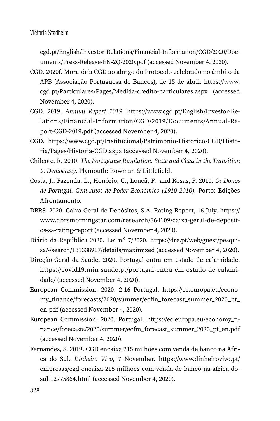[cgd.pt/English/Investor-Relations/Financial-Information/CGD/2020/Doc](https://www.cgd.pt/English/Investor-Relations/Financial-Information/CGD/2020/Documents/Press-Release-EN-2Q-2020.pdf)[uments/Press-Release-EN-2Q-2020.pdf](https://www.cgd.pt/English/Investor-Relations/Financial-Information/CGD/2020/Documents/Press-Release-EN-2Q-2020.pdf) (accessed November 4, 2020).

- CGD. 2020f. Moratória CGD ao abrigo do Protocolo celebrado no âmbito da APB (Associação Portuguesa de Bancos), de 15 de abril. [https://www.](https://www.cgd.pt/Particulares/Pages/Medida-credito-particulares.aspx) [cgd.pt/Particulares/Pages/Medida-credito-particulares.aspx](https://www.cgd.pt/Particulares/Pages/Medida-credito-particulares.aspx) (accessed November 4, 2020).
- CGD. 2019. *Annual Report 2019.* [https://www.cgd.pt/English/Investor-Re](https://www.cgd.pt/English/Investor-Relations/Financial-Information/CGD/2019/Documents/Annual-Report-CGD-2019.pdf)[lations/Financial-Information/CGD/2019/Documents/Annual-Re](https://www.cgd.pt/English/Investor-Relations/Financial-Information/CGD/2019/Documents/Annual-Report-CGD-2019.pdf)[port-CGD-2019.pdf](https://www.cgd.pt/English/Investor-Relations/Financial-Information/CGD/2019/Documents/Annual-Report-CGD-2019.pdf) (accessed November 4, 2020).
- CGD. [https://www.cgd.pt/Institucional/Patrimonio-Historico-CGD/Histo](https://www.cgd.pt/Institucional/Patrimonio-Historico-CGD/Historia/Pages/Historia-CGD.aspx)[ria/Pages/Historia-CGD.aspx](https://www.cgd.pt/Institucional/Patrimonio-Historico-CGD/Historia/Pages/Historia-CGD.aspx) (accessed November 4, 2020).
- Chilcote, R. 2010. *The Portuguese Revolution. State and Class in the Transition to Democracy.* Plymouth: Rowman & Littlefield.
- Costa, J., Fazenda, L., Honório, C., Louçã, F., and Rosas, F. 2010. *Os Donos de Portugal. Cem Anos de Poder Económico (1910-2010).* Porto: Edições Afrontamento.
- DBRS. 2020. Caixa Geral de Depósitos, S.A. Rating Report, 16 July. [https://](https://www.dbrsmorningstar.com/research/364109/caixa-geral-de-depositos-sa-rating-report) [www.dbrsmorningstar.com/research/364109/caixa-geral-de-deposit](https://www.dbrsmorningstar.com/research/364109/caixa-geral-de-depositos-sa-rating-report)[os-sa-rating-report](https://www.dbrsmorningstar.com/research/364109/caixa-geral-de-depositos-sa-rating-report) (accessed November 4, 2020).
- Diário da República 2020. Lei n.º 7/2020. [https://dre.pt/web/guest/pesqui](https://dre.pt/web/guest/pesquisa/-/search/131338917/details/maximized)[sa/-/search/131338917/details/maximized](https://dre.pt/web/guest/pesquisa/-/search/131338917/details/maximized) (accessed November 4, 2020).
- Direção-Geral da Saúde. 2020. Portugal entra em estado de calamidade. [https://covid19.min-saude.pt/portugal-entra-em-estado-de-calami](https://covid19.min-saude.pt/portugal-entra-em-estado-de-calamidade/)[dade/](https://covid19.min-saude.pt/portugal-entra-em-estado-de-calamidade/) (accessed November 4, 2020).
- European Commission. 2020. 2.16 Portugal. [https://ec.europa.eu/econo](https://ec.europa.eu/economy_finance/forecasts/2020/summer/ecfin_forecast_summer_2020_pt_en.pdf)[my\\_finance/forecasts/2020/summer/ecfin\\_forecast\\_summer\\_2020\\_pt\\_](https://ec.europa.eu/economy_finance/forecasts/2020/summer/ecfin_forecast_summer_2020_pt_en.pdf) [en.pdf](https://ec.europa.eu/economy_finance/forecasts/2020/summer/ecfin_forecast_summer_2020_pt_en.pdf) (accessed November 4, 2020).
- European Commission. 2020. Portugal. [https://ec.europa.eu/economy\\_fi](https://ec.europa.eu/economy_finance/forecasts/2020/summer/ecfin_forecast_summer_2020_pt_en.pdf)[nance/forecasts/2020/summer/ecfin\\_forecast\\_summer\\_2020\\_pt\\_en.pdf](https://ec.europa.eu/economy_finance/forecasts/2020/summer/ecfin_forecast_summer_2020_pt_en.pdf) (accessed November 4, 2020).
- Fernandes, S. 2019. CGD encaixa 215 milhões com venda de banco na África do Sul. *Dinheiro Vivo*, 7 November. [https://www.dinheirovivo.pt/](https://www.dinheirovivo.pt/empresas/cgd-encaixa-215-milhoes-com-venda-de-banco-na-africa-do-sul-12775864.html) [empresas/cgd-encaixa-215-milhoes-com-venda-de-banco-na-africa-do](https://www.dinheirovivo.pt/empresas/cgd-encaixa-215-milhoes-com-venda-de-banco-na-africa-do-sul-12775864.html)[sul-12775864.html](https://www.dinheirovivo.pt/empresas/cgd-encaixa-215-milhoes-com-venda-de-banco-na-africa-do-sul-12775864.html) (accessed November 4, 2020).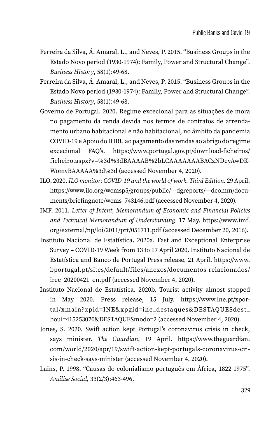- Ferreira da Silva, Á. Amaral, L., and Neves, P. 2015. "Business Groups in the Estado Novo period (1930-1974): Family, Power and Structural Change". *Business History*, 58(1):49-68.
- Ferreira da Silva, Á. Amaral, L., and Neves, P. 2015. "Business Groups in the Estado Novo period (1930-1974): Family, Power and Structural Change". *Business History*, 58(1):49-68.
- Governo de Portugal. 2020. Regime excecional para as situações de mora no pagamento da renda devida nos termos de contratos de arrendamento urbano habitacional e não habitacional, no âmbito da pandemia COVID-19 e Apoio do IHRU ao pagamento das rendas ao abrigo do regime excecional FAQ's. [https://www.portugal.gov.pt/download-ficheiros/](https://www.portugal.gov.pt/download-ficheiros/ficheiro.aspx?v=%3d%3dBAAAAB%2bLCAAAAAAABACzNDcyAwDKWomvBAAAAA%3d%3d) [ficheiro.aspx?v=%3d%3dBAAAAB%2bLCAAAAAAABACzNDcyAwDK](https://www.portugal.gov.pt/download-ficheiros/ficheiro.aspx?v=%3d%3dBAAAAB%2bLCAAAAAAABACzNDcyAwDKWomvBAAAAA%3d%3d)-[WomvBAAAAA%3d%3d](https://www.portugal.gov.pt/download-ficheiros/ficheiro.aspx?v=%3d%3dBAAAAB%2bLCAAAAAAABACzNDcyAwDKWomvBAAAAA%3d%3d) (accessed November 4, 2020).
- ILO. 2020. *ILO monitor: COVID-19 and the world of work. Third Edition.* 29 April. [https://www.ilo.org/wcmsp5/groups/public/---dgreports/---dcomm/docu](https://www.ilo.org/wcmsp5/groups/public/---dgreports/---dcomm/documents/briefingnote/wcms_743146.pdf)[ments/briefingnote/wcms\\_743146.pdf](https://www.ilo.org/wcmsp5/groups/public/---dgreports/---dcomm/documents/briefingnote/wcms_743146.pdf) (accessed November 4, 2020).
- IMF. 2011. *Letter of Intent, Memorandum of Economic and Financial Policies and Technical Memorandum of Understanding.* 17 May. [https://www.imf.](https://www.imf.org/external/np/loi/2011/prt/051711.pdf) [org/external/np/loi/2011/prt/051711.pdf](https://www.imf.org/external/np/loi/2011/prt/051711.pdf) (accessed December 20, 2016).
- Instituto Nacional de Estatística. 2020a. Fast and Exceptional Enterprise Survey – COVID-19 Week from 13 to 17 April 2020. Instituto Nacional de Estatística and Banco de Portugal Press release, 21 April. [https://www.](https://www.bportugal.pt/sites/default/files/anexos/documentos-relacionados/iree_20200421_en.pdf) [bportugal.pt/sites/default/files/anexos/documentos-relacionados/](https://www.bportugal.pt/sites/default/files/anexos/documentos-relacionados/iree_20200421_en.pdf) [iree\\_20200421\\_en.pdf](https://www.bportugal.pt/sites/default/files/anexos/documentos-relacionados/iree_20200421_en.pdf) (accessed November 4, 2020).
- Instituto Nacional de Estatística. 2020b. Tourist activity almost stopped in May 2020. Press release, 15 July. [https://www.ine.pt/xpor](https://www.ine.pt/xportal/xmain?xpid=INE&xpgid=ine_destaques&DESTAQUESdest_boui=415253070&DESTAQUESmodo=2)[tal/xmain?xpid=INE&xpgid=ine\\_destaques&DESTAQUESdest\\_](https://www.ine.pt/xportal/xmain?xpid=INE&xpgid=ine_destaques&DESTAQUESdest_boui=415253070&DESTAQUESmodo=2) [boui=415253070&DESTAQUESmodo=2](https://www.ine.pt/xportal/xmain?xpid=INE&xpgid=ine_destaques&DESTAQUESdest_boui=415253070&DESTAQUESmodo=2) (accessed November 4, 2020).
- Jones, S. 2020. Swift action kept Portugal's coronavirus crisis in check, says minister. *The Guardian*, 19 April. [https://www.theguardian.](https://www.theguardian.com/world/2020/apr/19/swift-action-kept-portugals-coronavirus-crisis-in-check-says-minister) [com/world/2020/apr/19/swift-action-kept-portugals-coronavirus-cri](https://www.theguardian.com/world/2020/apr/19/swift-action-kept-portugals-coronavirus-crisis-in-check-says-minister)[sis-in-check-says-minister](https://www.theguardian.com/world/2020/apr/19/swift-action-kept-portugals-coronavirus-crisis-in-check-says-minister) (accessed November 4, 2020).
- Lains, P. 1998. "Causas do colonialismo português em África, 1822-1975". *Análise Social*, 33(2/3):463-496.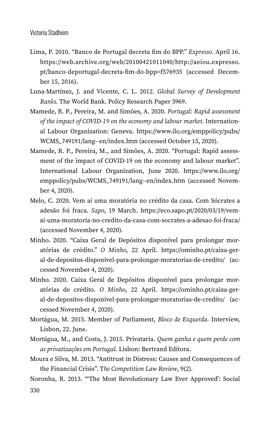- Lima, P. 2010. "Banco de Portugal decreta fim do BPP." *Expresso.* April 16. [https://web.archive.org/web/20100421011040/http:](https://web.archive.org/web/20100421011040/http)/[/aeiou.expresso.](http://aeiou.expresso.pt/banco-deportugal-decreta-fim-do-bpp=f576935) [pt/banco-deportugal-decreta-fim-do-bpp=f576935](http://aeiou.expresso.pt/banco-deportugal-decreta-fim-do-bpp=f576935) (accessed December 15, 2016).
- Luna-Martínez, J. and Vicente, C. L. 2012. *Global Survey of Development Banks.* The World Bank. Policy Research Paper 5969.
- Mamede, R. P., Pereira, M. and Simões, A. 2020. *Portugal: Rapid assessment of the impact of COVID-19 on the economy and labour market.* International Labour Organization: Geneva. [https://www.ilo.org/emppolicy/pubs/](https://www.ilo.org/emppolicy/pubs/WCMS_749191/lang--en/index.htm) [WCMS\\_749191/lang--en/index.htm](https://www.ilo.org/emppolicy/pubs/WCMS_749191/lang--en/index.htm) (accessed October 15, 2020).
- Mamede, R. P., Pereira, M., and Simões, A. 2020. "Portugal: Rapid assessment of the impact of COVID-19 on the economy and labour market". International Labour Organization, June 2020. [https://www.ilo.org/](https://www.ilo.org/emppolicy/pubs/WCMS_749191/lang--en/index.htm) [emppolicy/pubs/WCMS\\_749191/lang--en/index.htm](https://www.ilo.org/emppolicy/pubs/WCMS_749191/lang--en/index.htm) (accessed November 4, 2020).
- Melo, C. 2020. Vem aí uma moratória no crédito da casa. Com Sócrates a adesão foi fraca. *Sapo*, 19 March. [https://eco.sapo.pt/2020/03/19/vem](https://eco.sapo.pt/2020/03/19/vem-ai-uma-moratoria-no-credito-da-casa-com-socrates-a-adesao-foi-fraca/)[ai-uma-moratoria-no-credito-da-casa-com-socrates-a-adesao-foi-fraca/](https://eco.sapo.pt/2020/03/19/vem-ai-uma-moratoria-no-credito-da-casa-com-socrates-a-adesao-foi-fraca/) (accessed November 4, 2020).
- Minho. 2020. "Caixa Geral de Depósitos disponível para prolongar moratórias de crédito." *O Minho*, 22 April. [https://ominho.pt/caixa-ger](https://ominho.pt/caixa-geral-de-depositos-disponivel-para-prolongar-moratorias-de-credito/)[al-de-depositos-disponivel-para-prolongar-moratorias-de-credito/](https://ominho.pt/caixa-geral-de-depositos-disponivel-para-prolongar-moratorias-de-credito/) (accessed November 4, 2020).
- Minho. 2020. Caixa Geral de Depósitos disponível para prolongar moratórias de crédito. *O Minho*, 22 April. [https://ominho.pt/caixa-ger](https://ominho.pt/caixa-geral-de-depositos-disponivel-para-prolongar-moratorias-de-credito/)[al-de-depositos-disponivel-para-prolongar-moratorias-de-credito/](https://ominho.pt/caixa-geral-de-depositos-disponivel-para-prolongar-moratorias-de-credito/) (accessed November 4, 2020).
- Mortágua, M. 2015. Member of Parliament, *Bloco de Ezquerda.* Interview, Lisbon, 22. June.
- Mortágua, M., and Costa, J. 2015. Privataria. *Quem ganha e quem perde com as privatizações em Portugal.* Lisbon: Bertrand Editora.
- Moura e Silva, M. 2013. "Antitrust in Distress: Causes and Consequences of the Financial Crisis". T*he Competition Law Review*, 9(2).
- Noronha, R. 2013. "'The Most Revolutionary Law Ever Approved': Social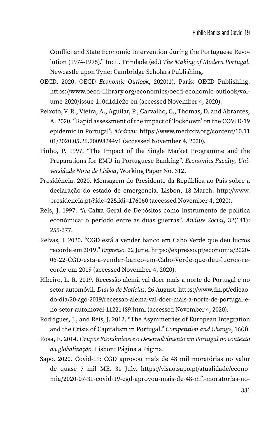Conflict and State Economic Intervention during the Portuguese Revolution (1974-1975)." In: L. Trindade (ed.) *The Making of Modern Portugal.* Newcastle upon Tyne: Cambridge Scholars Publishing.

- OECD. 2020. OECD *Economic Outlook*, 2020(1). Paris: OECD Publishing. [https://www.oecd-ilibrary.org/economics/oecd-economic-outlook/vol](https://www.oecd-ilibrary.org/economics/oecd-economic-outlook/volume-2020/issue-1_0d1d1e2e-en)[ume-2020/issue-1\\_0d1d1e2e-en](https://www.oecd-ilibrary.org/economics/oecd-economic-outlook/volume-2020/issue-1_0d1d1e2e-en) (accessed November 4, 2020).
- Peixoto, V. R., Vieira, A., Aguilar, P., Carvalho, C., Thomas, D. and Abrantes, A. 2020. "Rapid assessment of the impact of 'lockdown' on the COVID-19 epidemic in Portugal". *Medrxiv.* [https://www.medrxiv.org/content/10.11](https://www.medrxiv.org/content/10.1101/2020.05.26.20098244v1) [01/2020.05.26.20098244v1](https://www.medrxiv.org/content/10.1101/2020.05.26.20098244v1) (accessed November 4, 2020).
- Pinho, P. 1997. "The Impact of the Single Market Programme and the Preparations for EMU in Portuguese Banking". *Economics Faculty, Universidade Nova de Lisboa*, Working Paper No. 312.
- Presidência. 2020. Mensagem do Presidente da República ao País sobre a declaração do estado de emergencia. Lisbon, 18 March. [http://www.](http://www.presidencia.pt/?idc=22&idi=176060) [presidencia.pt/?idc=22&idi=176060](http://www.presidencia.pt/?idc=22&idi=176060) (accessed November 4, 2020).
- Reis, J. 1997. "A Caixa Geral de Depósitos como instrumento de política económica: o período entre as duas guerras". *Análise Social*, 32(141): 255-277.
- Relvas, J. 2020. "CGD está a vender banco em Cabo Verde que deu lucros recorde em 2019." *Expresso,* 22 June. [https://expresso.pt/economia/2020-](https://expresso.pt/economia/2020-06-22-CGD-esta-a-vender-banco-em-Cabo-Verde-que-deu-lucros-recorde-em-2019) [06-22-CGD-esta-a-vender-banco-em-Cabo-Verde-que-deu-lucros-re](https://expresso.pt/economia/2020-06-22-CGD-esta-a-vender-banco-em-Cabo-Verde-que-deu-lucros-recorde-em-2019)[corde-em-2019](https://expresso.pt/economia/2020-06-22-CGD-esta-a-vender-banco-em-Cabo-Verde-que-deu-lucros-recorde-em-2019) (accessed November 4, 2020).
- Ribeiro, L. R. 2019. Recessão alemã vai doer mais a norte de Portugal e no setor automóvil. *Diário de Notícias*, 26 August. [https://www.dn.pt/edicao](https://www.dn.pt/edicao-do-dia/20-ago-2019/recessao-alema-vai-doer-mais-a-norte-de-portugal-e-no-setor-automovel-11221489.html)[do-dia/20-ago-2019/recessao-alema-vai-doer-mais-a-norte-de-portugal-e](https://www.dn.pt/edicao-do-dia/20-ago-2019/recessao-alema-vai-doer-mais-a-norte-de-portugal-e-no-setor-automovel-11221489.html)[no-setor-automovel-11221489.html](https://www.dn.pt/edicao-do-dia/20-ago-2019/recessao-alema-vai-doer-mais-a-norte-de-portugal-e-no-setor-automovel-11221489.html) (accessed November 4, 2020).
- Rodrigues, J., and Reis, J. 2012. "The Asymmetries of European Integration and the Crisis of Capitalism in Portugal." *Competition and Change*, 16(3).
- Rosa, E. 2014. *Grupos Económicos e o Desenvolvimento em Portugal no contexto da globalização.* Lisbon: Página a Página.
- Sapo. 2020. Covid-19: CGD aprovou mais de 48 mil moratórias no valor de quase 7 mil ME. 31 July. [https://visao.sapo.pt/atualidade/econo](https://visao.sapo.pt/atualidade/economia/2020-07-31-covid-19-cgd-aprovou-mais-de-48-mil-moratorias-no-valor-de-quase-7-mil-me/)[mia/2020-07-31-covid-19-cgd-aprovou-mais-de-48-mil-moratorias-no-](https://visao.sapo.pt/atualidade/economia/2020-07-31-covid-19-cgd-aprovou-mais-de-48-mil-moratorias-no-valor-de-quase-7-mil-me/)